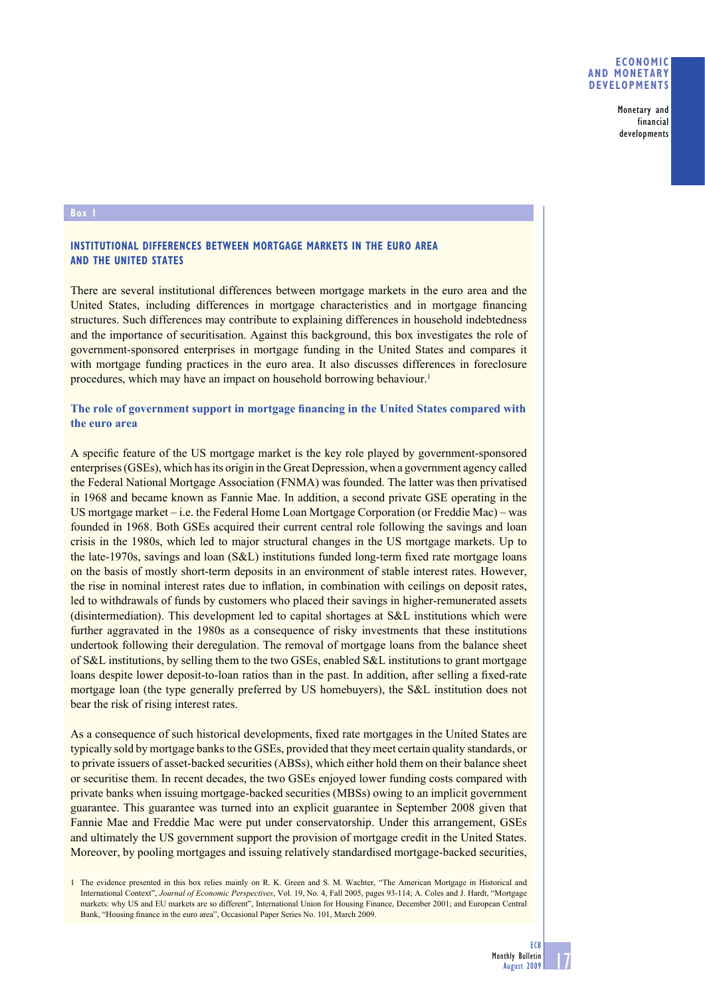**Monetary and financial developments**

## **Box 1**

## **INSTITUTIONAL DIFFERENCES BETWEEN MORTGAGE MARKETS IN THE EURO AREA AND THE UNITED STATES**

There are several institutional differences between mortgage markets in the euro area and the United States, including differences in mortgage characteristics and in mortgage financing structures. Such differences may contribute to explaining differences in household indebtedness and the importance of securitisation. Against this background, this box investigates the role of government-sponsored enterprises in mortgage funding in the United States and compares it with mortgage funding practices in the euro area. It also discusses differences in foreclosure procedures, which may have an impact on household borrowing behaviour.<sup>1</sup>

# The role of government support in mortgage financing in the United States compared with **the euro area**

A specific feature of the US mortgage market is the key role played by government-sponsored enterprises (GSEs), which has its origin in the Great Depression, when a government agency called the Federal National Mortgage Association (FNMA) was founded. The latter was then privatised in 1968 and became known as Fannie Mae. In addition, a second private GSE operating in the US mortgage market – i.e. the Federal Home Loan Mortgage Corporation (or Freddie Mac) – was founded in 1968. Both GSEs acquired their current central role following the savings and loan crisis in the 1980s, which led to major structural changes in the US mortgage markets. Up to the late-1970s, savings and loan (S&L) institutions funded long-term fixed rate mortgage loans on the basis of mostly short-term deposits in an environment of stable interest rates. However, the rise in nominal interest rates due to inflation, in combination with ceilings on deposit rates, led to withdrawals of funds by customers who placed their savings in higher-remunerated assets (disintermediation). This development led to capital shortages at S&L institutions which were further aggravated in the 1980s as a consequence of risky investments that these institutions undertook following their deregulation. The removal of mortgage loans from the balance sheet of S&L institutions, by selling them to the two GSEs, enabled S&L institutions to grant mortgage loans despite lower deposit-to-loan ratios than in the past. In addition, after selling a fixed-rate mortgage loan (the type generally preferred by US homebuyers), the S&L institution does not bear the risk of rising interest rates.

As a consequence of such historical developments, fixed rate mortgages in the United States are typically sold by mortgage banks to the GSEs, provided that they meet certain quality standards, or to private issuers of asset-backed securities (ABSs), which either hold them on their balance sheet or securitise them. In recent decades, the two GSEs enjoyed lower funding costs compared with private banks when issuing mortgage-backed securities (MBSs) owing to an implicit government guarantee. This guarantee was turned into an explicit guarantee in September 2008 given that Fannie Mae and Freddie Mac were put under conservatorship. Under this arrangement, GSEs and ultimately the US government support the provision of mortgage credit in the United States. Moreover, by pooling mortgages and issuing relatively standardised mortgage-backed securities,

<sup>1</sup> The evidence presented in this box relies mainly on R. K. Green and S. M. Wachter, "The American Mortgage in Historical and International Context", *Journal of Economic Perspectives*, Vol. 19, No. 4, Fall 2005, pages 93-114; A. Coles and J. Hardt, "Mortgage markets: why US and EU markets are so different", International Union for Housing Finance, December 2001; and European Central Bank, "Housing finance in the euro area", Occasional Paper Series No. 101, March 2009.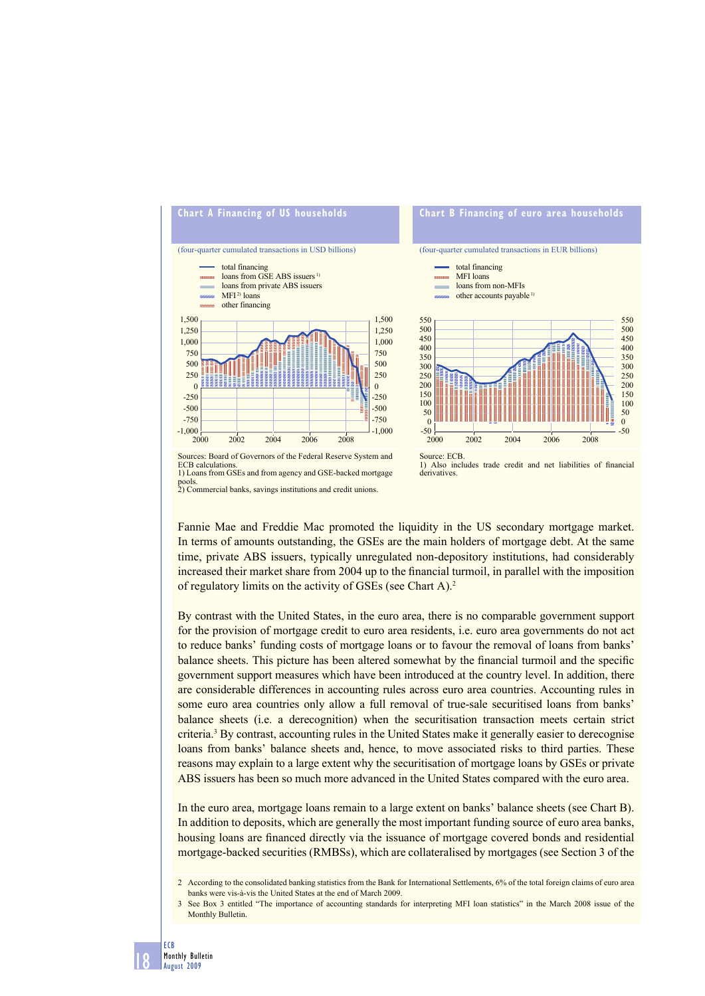

pools. 2) Commercial banks, savings institutions and credit unions.

Fannie Mae and Freddie Mac promoted the liquidity in the US secondary mortgage market. In terms of amounts outstanding, the GSEs are the main holders of mortgage debt. At the same time, private ABS issuers, typically unregulated non-depository institutions, had considerably increased their market share from 2004 up to the financial turmoil, in parallel with the imposition of regulatory limits on the activity of GSEs (see Chart A).2

By contrast with the United States, in the euro area, there is no comparable government support for the provision of mortgage credit to euro area residents, i.e. euro area governments do not act to reduce banks' funding costs of mortgage loans or to favour the removal of loans from banks' balance sheets. This picture has been altered somewhat by the financial turmoil and the specific government support measures which have been introduced at the country level. In addition, there are considerable differences in accounting rules across euro area countries. Accounting rules in some euro area countries only allow a full removal of true-sale securitised loans from banks' balance sheets (i.e. a derecognition) when the securitisation transaction meets certain strict criteria.<sup>3</sup> By contrast, accounting rules in the United States make it generally easier to derecognise loans from banks' balance sheets and, hence, to move associated risks to third parties. These reasons may explain to a large extent why the securitisation of mortgage loans by GSEs or private ABS issuers has been so much more advanced in the United States compared with the euro area.

In the euro area, mortgage loans remain to a large extent on banks' balance sheets (see Chart B). In addition to deposits, which are generally the most important funding source of euro area banks, housing loans are financed directly via the issuance of mortgage covered bonds and residential mortgage-backed securities (RMBSs), which are collateralised by mortgages (see Section 3 of the

<sup>2</sup> According to the consolidated banking statistics from the Bank for International Settlements, 6% of the total foreign claims of euro area banks were vis-à-vis the United States at the end of March 2009.

<sup>3</sup> See Box 3 entitled "The importance of accounting standards for interpreting MFI loan statistics" in the March 2008 issue of the Monthly Bulletin.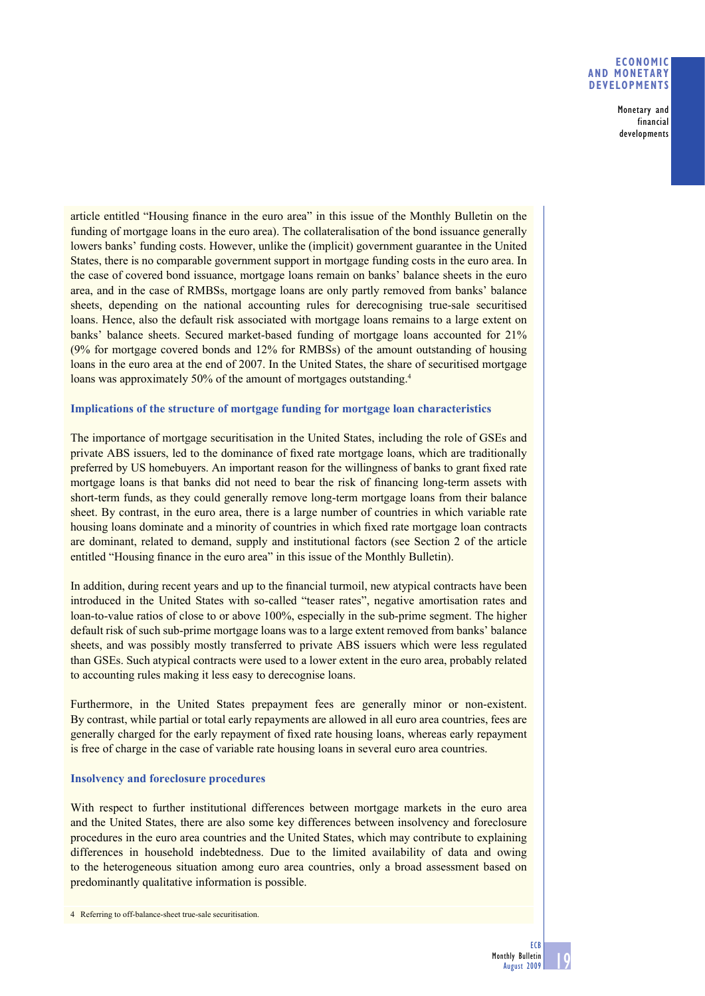#### **ECONOMIC AND MONETARY DEVELOPMENTS**

**Monetary and financial developments**

article entitled "Housing finance in the euro area" in this issue of the Monthly Bulletin on the funding of mortgage loans in the euro area). The collateralisation of the bond issuance generally lowers banks' funding costs. However, unlike the (implicit) government guarantee in the United States, there is no comparable government support in mortgage funding costs in the euro area. In the case of covered bond issuance, mortgage loans remain on banks' balance sheets in the euro area, and in the case of RMBSs, mortgage loans are only partly removed from banks' balance sheets, depending on the national accounting rules for derecognising true-sale securitised loans. Hence, also the default risk associated with mortgage loans remains to a large extent on banks' balance sheets. Secured market-based funding of mortgage loans accounted for 21% (9% for mortgage covered bonds and 12% for RMBSs) of the amount outstanding of housing loans in the euro area at the end of 2007. In the United States, the share of securitised mortgage loans was approximately 50% of the amount of mortgages outstanding.<sup>4</sup>

## **Implications of the structure of mortgage funding for mortgage loan characteristics**

The importance of mortgage securitisation in the United States, including the role of GSEs and private ABS issuers, led to the dominance of fixed rate mortgage loans, which are traditionally preferred by US homebuyers. An important reason for the willingness of banks to grant fixed rate mortgage loans is that banks did not need to bear the risk of financing long-term assets with short-term funds, as they could generally remove long-term mortgage loans from their balance sheet. By contrast, in the euro area, there is a large number of countries in which variable rate housing loans dominate and a minority of countries in which fixed rate mortgage loan contracts are dominant, related to demand, supply and institutional factors (see Section 2 of the article entitled "Housing finance in the euro area" in this issue of the Monthly Bulletin).

In addition, during recent years and up to the financial turmoil, new atypical contracts have been introduced in the United States with so-called "teaser rates", negative amortisation rates and loan-to-value ratios of close to or above 100%, especially in the sub-prime segment. The higher default risk of such sub-prime mortgage loans was to a large extent removed from banks' balance sheets, and was possibly mostly transferred to private ABS issuers which were less regulated than GSEs. Such atypical contracts were used to a lower extent in the euro area, probably related to accounting rules making it less easy to derecognise loans.

Furthermore, in the United States prepayment fees are generally minor or non-existent. By contrast, while partial or total early repayments are allowed in all euro area countries, fees are generally charged for the early repayment of fixed rate housing loans, whereas early repayment is free of charge in the case of variable rate housing loans in several euro area countries.

#### **Insolvency and foreclosure procedures**

With respect to further institutional differences between mortgage markets in the euro area and the United States, there are also some key differences between insolvency and foreclosure procedures in the euro area countries and the United States, which may contribute to explaining differences in household indebtedness. Due to the limited availability of data and owing to the heterogeneous situation among euro area countries, only a broad assessment based on predominantly qualitative information is possible.

<sup>4</sup> Referring to off-balance-sheet true-sale securitisation.